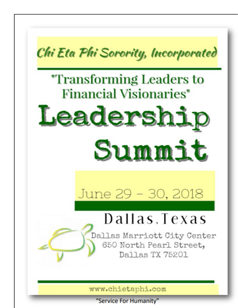

"Service For Humanity"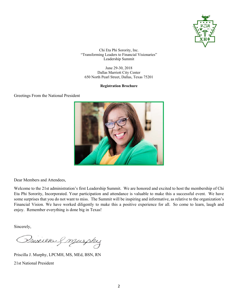![](_page_1_Picture_0.jpeg)

June 29-30, 2018 Dallas Marriott City Center 650 North Pearl Street, Dallas, Texas 75201

### **Registration Brochure**

### Greetings From the National President

![](_page_1_Picture_5.jpeg)

Dear Members and Attendees,

Welcome to the 21st administration's first Leadership Summit. We are honored and excited to host the membership of Chi Eta Phi Sorority, Incorporated. Your participation and attendance is valuable to make this a successful event. We have some surprises that you do not want to miss. The Summit will be inspiring and informative, as relative to the organization's Financial Vision. We have worked diligently to make this a positive experience for all. So come to learn, laugh and enjoy. Remember everything is done big in Texas!

Sincerely,

Prixilk & murphy

Priscilla J. Murphy, LPCMH, MS, MEd, BSN, RN

21st National President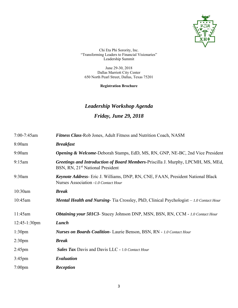![](_page_2_Picture_0.jpeg)

June 29-30, 2018 Dallas Marriott City Center 650 North Pearl Street, Dallas, Texas 75201

**Registration Brochure** 

# *Leadership Workshop Agenda Friday, June 29, 2018*

| 7:00-7:45am        | <b>Fitness Class-Rob Jones, Adult Fitness and Nutrition Coach, NASM</b>                                                          |  |
|--------------------|----------------------------------------------------------------------------------------------------------------------------------|--|
| 8:00am             | <b>Breakfast</b>                                                                                                                 |  |
| 9:00am             | <b>Opening &amp; Welcome-Deborah Stamps, EdD, MS, RN, GNP, NE-BC, 2nd Vice President</b>                                         |  |
| 9:15am             | Greetings and Introduction of Board Members-Priscilla J. Murphy, LPCMH, MS, MEd,<br>BSN, RN, 21 <sup>st</sup> National President |  |
| 9:30am             | <b>Keynote Address-</b> Eric J. Williams, DNP, RN, CNE, FAAN, President National Black<br>Nurses Association -1.0 Contact Hour   |  |
| 10:30am            | <b>Break</b>                                                                                                                     |  |
| 10:45am            | <b>Mental Health and Nursing-</b> Tia Crossley, PhD, Clinical Psychologist – 1.0 Contact Hour                                    |  |
| 11:45am            | Obtaining your 501C3- Stacey Johnson DNP, MSN, BSN, RN, CCM - 1.0 Contact Hour                                                   |  |
| $12:45-1:30$ pm    | Lunch                                                                                                                            |  |
| 1:30 <sub>pm</sub> | Nurses on Boards Coalition-Laurie Benson, BSN, RN - 1.0 Contact Hour                                                             |  |
| 2:30 <sub>pm</sub> | <b>Break</b>                                                                                                                     |  |
| $2:45$ pm          | <b>Sales Tax Davis and Davis LLC - 1.0 Contact Hour</b>                                                                          |  |
| $3:45$ pm          | Evaluation                                                                                                                       |  |
| $7:00$ pm          | Reception                                                                                                                        |  |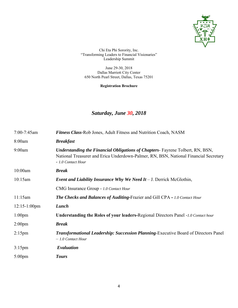![](_page_3_Picture_0.jpeg)

June 29-30, 2018 Dallas Marriott City Center 650 North Pearl Street, Dallas, Texas 75201

**Registration Brochure** 

## *Saturday, June 30, 2018*

| $7:00-7:45$ am     | <b>Fitness Class-Rob Jones, Adult Fitness and Nutrition Coach, NASM</b>                                                                                                                             |  |
|--------------------|-----------------------------------------------------------------------------------------------------------------------------------------------------------------------------------------------------|--|
| 8:00am             | <b>Breakfast</b>                                                                                                                                                                                    |  |
| 9:00am             | <b>Understanding the Financial Obligations of Chapters-</b> Fayrene Tolbert, RN, BSN,<br>National Treasurer and Erica Underdown-Palmer, RN, BSN, National Financial Secretary<br>- 1.0 Contact Hour |  |
| 10:00am            | <b>Break</b>                                                                                                                                                                                        |  |
| 10:15am            | <i>Event and Liability Insurance Why We Need It - J. Derrick McGlothin,</i>                                                                                                                         |  |
|                    | CMG Insurance Group - 1.0 Contact Hour                                                                                                                                                              |  |
| 11:15am            | <b>The Checks and Balances of Auditing-Frazier and Gill CPA - 1.0 Contact Hour</b>                                                                                                                  |  |
| $12:15-1:00$ pm    | Lunch                                                                                                                                                                                               |  |
| $1:00$ pm          | Understanding the Roles of your leaders-Regional Directors Panel -1.0 Contact hour                                                                                                                  |  |
| 2:00 <sub>pm</sub> | <b>Break</b>                                                                                                                                                                                        |  |
| $2:15$ pm          | <b>Transformational Leadership: Succession Planning-Executive Board of Directors Panel</b><br>$-1.0$ Contact Hour                                                                                   |  |
| $3:15$ pm          | Evaluation                                                                                                                                                                                          |  |
| $5:00 \text{pm}$   | <b>Tours</b>                                                                                                                                                                                        |  |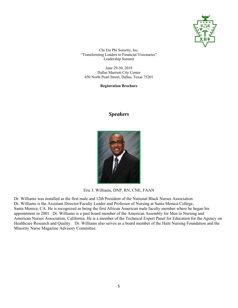![](_page_4_Picture_0.jpeg)

June 29-30, 2018 Dallas Marriott City Center 650 North Pearl Street, Dallas, Texas 75201

**Registration Brochure** 

### *Speakers*

![](_page_4_Picture_5.jpeg)

Eric J. Williams, DNP, RN, CNE, FAAN

Dr. Williams was installed as the first male and 12th President of the National Black Nurses Association. Dr. Williams is the Assistant Director/Faculty Leader and Professor of Nursing at Santa Monica College, Santa Monica, CA. He is recognized as being the first African American male faculty member where he began his appointment in 2001. Dr. Williams is a past board member of the American Assembly for Men in Nursing and American Nurses Association, California. He is a member of the Technical Expert Panel for Education for the Agency on Healthcare Research and Quality. Dr. Williams also serves as a board member of the Haiti Nursing Foundation and the Minority Nurse Magazine Advisory Committee.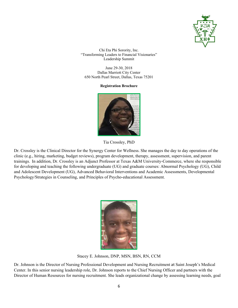![](_page_5_Picture_0.jpeg)

June 29-30, 2018 Dallas Marriott City Center 650 North Pearl Street, Dallas, Texas 75201

#### **Registration Brochure**

![](_page_5_Picture_4.jpeg)

Tia Crossley, PhD

Dr. Crossley is the Clinical Director for the Synergy Center for Wellness. She manages the day to day operations of the clinic (e.g., hiring, marketing, budget reviews), program development, therapy, assessment, supervision, and parent trainings. In addition, Dr. Crossley is an Adjunct Professor at Texas A&M University-Commerce, where she responsible for developing and teaching the following undergraduate (UG) and graduate courses: Abnormal Psychology (UG), Child and Adolescent Development (UG), Advanced Behavioral Interventions and Academic Assessments, Developmental Psychology/Strategies in Counseling, and Principles of Psycho-educational Assessment.

![](_page_5_Picture_7.jpeg)

Stacey E. Johnson, DNP, MSN, BSN, RN, CCM

Dr. Johnson is the Director of Nursing Professional Development and Nursing Recruitment at Saint Joseph's Medical Center. In this senior nursing leadership role, Dr. Johnson reports to the Chief Nursing Officer and partners with the Director of Human Resources for nursing recruitment. She leads organizational change by assessing learning needs, goal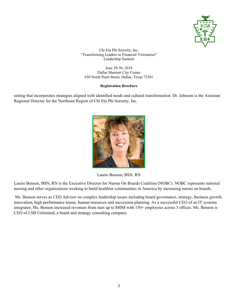![](_page_6_Picture_0.jpeg)

June 29-30, 2018 Dallas Marriott City Center 650 North Pearl Street, Dallas, Texas 75201

### **Registration Brochure**

setting that incorporates strategies aligned with identified needs and cultural transformation. Dr. Johnson is the Assistant Regional Director for the Northeast Region of Chi Eta Phi Sorority, Inc.

![](_page_6_Picture_5.jpeg)

Laurie Benson, BSN, RN

Laurie Benson, BSN, RN is the Executive Director for Nurses On Boards Coalition (NOBC). NOBC represents national nursing and other organizations working to build healthier communities in America by increasing nurses on boards.

 Ms. Benson serves as CEO Advisor on complex leadership issues including board governance, strategy, business growth, innovation, high performance teams, human resources and succession planning. As a successful CEO of an IT systems integrator, Ms. Benson increased revenues from start up to \$80M with 150+ employees across 3 offices. Ms. Benson is CEO of LSB Unlimited, a board and strategy consulting company.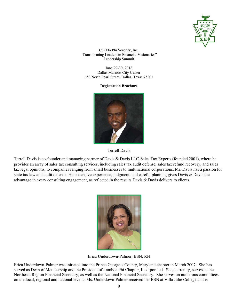![](_page_7_Picture_0.jpeg)

June 29-30, 2018 Dallas Marriott City Center 650 North Pearl Street, Dallas, Texas 75201

#### **Registration Brochure**

![](_page_7_Picture_4.jpeg)

![](_page_7_Figure_5.jpeg)

Terrell Davis is co-founder and managing partner of Davis & Davis LLC-Sales Tax Experts (founded 2001), where he provides an array of sales tax consulting services, including sales tax audit defense, sales tax refund recovery, and sales tax legal opinions, to companies ranging from small businesses to multinational corporations. Mr. Davis has a passion for state tax law and audit defense. His extensive experience, judgment, and careful planning gives Davis & Davis the advantage in every consulting engagement, as reflected in the results Davis & Davis delivers to clients.

![](_page_7_Picture_7.jpeg)

Erica Underdown-Palmer, BSN, RN

Erica Underdown-Palmer was initiated into the Prince George's County, Maryland chapter in March 2007. She has served as Dean of Membership and the President of Lambda Phi Chapter, Incorporated. She, currently, serves as the Northeast Region Financial Secretary, as well as the National Financial Secretary. She serves on numerous committees on the local, regional and national levels. Ms. Underdown-Palmer received her BSN at Villa Julie College and is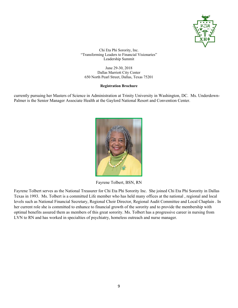![](_page_8_Picture_0.jpeg)

June 29-30, 2018 Dallas Marriott City Center 650 North Pearl Street, Dallas, Texas 75201

### **Registration Brochure**

currently pursuing her Masters of Science in Administration at Trinity University in Washington, DC. Ms. Underdown-Palmer is the Senior Manager Associate Health at the Gaylord National Resort and Convention Center.

![](_page_8_Picture_5.jpeg)

Fayrene Tolbert, BSN, RN

Fayrene Tolbert serves as the National Treasurer for Chi Eta Phi Sorority Inc. She joined Chi Eta Phi Sorority in Dallas Texas in 1993. Ms. Tolbert is a committed Life member who has held many offices at the national , regional and local levels such as National Financial Secretary, Regional Choir Director, Regional Audit Committee and Local Chaplain . In her current role she is committed to enhance to financial growth of the sorority and to provide the membership with optimal benefits assured them as members of this great sorority. Ms. Tolbert has a progressive career in nursing from LVN to RN and has worked in specialties of psychiatry, homeless outreach and nurse manager.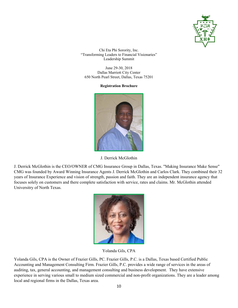![](_page_9_Picture_0.jpeg)

June 29-30, 2018 Dallas Marriott City Center 650 North Pearl Street, Dallas, Texas 75201

**Registration Brochure** 

![](_page_9_Picture_4.jpeg)

J. Derrick McGlothin

J. Derrick McGlothin is the CEO/OWNER of CMG Insurance Group in Dallas, Texas. "Making Insurance Make Sense" CMG was founded by Award Winning Insurance Agents J. Derrick McGlothin and Carlos Clark. They combined their 32 years of Insurance Experience and vision of strength, passion and faith. They are an independent insurance agency that focuses solely on customers and there complete satisfaction with service, rates and claims. Mr. McGlothin attended Universitry of North Texas.

![](_page_9_Picture_7.jpeg)

Yolanda Gils, CPA

Yolanda Gils, CPA is the Owner of Frazier Gills, PC. Frazier Gills, P.C. is a Dallas, Texas based Certified Public Accounting and Management Consulting Firm. Frazier Gills, P.C. provides a wide range of services in the areas of auditing, tax, general accounting, and management consulting and business development. They have extensive experience in serving various small to medium sized commercial and non-profit organizations. They are a leader among local and regional firms in the Dallas, Texas area.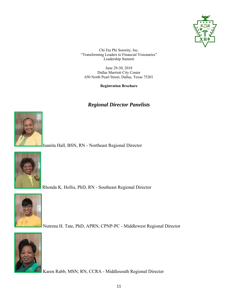![](_page_10_Picture_0.jpeg)

June 29-30, 2018 Dallas Marriott City Center 650 North Pearl Street, Dallas, Texas 75201

**Registration Brochure** 

### *Regional Director Panelists*

![](_page_10_Picture_5.jpeg)

Juanita Hall, BSN, RN - Northeast Regional Director

![](_page_10_Picture_7.jpeg)

Rhonda K. Hollis, PhD, RN - Southeast Regional Director

![](_page_10_Picture_9.jpeg)

Nutrena H. Tate, PhD, APRN, CPNP-PC - Middlewest Regional Director

![](_page_10_Picture_11.jpeg)

Karen Rabb, MSN, RN, CCRA - Middlesouth Regional Director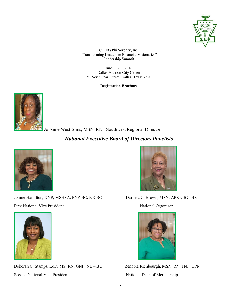![](_page_11_Picture_0.jpeg)

June 29-30, 2018 Dallas Marriott City Center 650 North Pearl Street, Dallas, Texas 75201

**Registration Brochure** 

![](_page_11_Picture_4.jpeg)

Jo Anne West-Sims, MSN, RN - Southwest Regional Director

### *National Executive Board of Directors Panelists*

![](_page_11_Picture_7.jpeg)

Jonnie Hamilton, DNP, MSHSA, PNP-BC, NE-BC Darneta G. Brown, MSN, APRN-BC, BS First National Vice President National Organizer

![](_page_11_Picture_9.jpeg)

Deborah C. Stamps, EdD, MS, RN, GNP, NE – BC Zenobia Richbourgh, MSN, RN, FNP, CPN Second National Vice President National Dean of Membership

![](_page_11_Picture_11.jpeg)

![](_page_11_Picture_14.jpeg)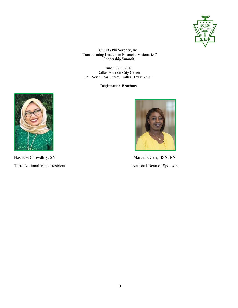![](_page_12_Picture_0.jpeg)

June 29-30, 2018 Dallas Marriott City Center 650 North Pearl Street, Dallas, Texas 75201

**Registration Brochure** 

![](_page_12_Picture_4.jpeg)

Nashaba Chowdhry, SN Marcella Carr, BSN, RN Third National Vice President National Dean of Sponsors

![](_page_12_Picture_6.jpeg)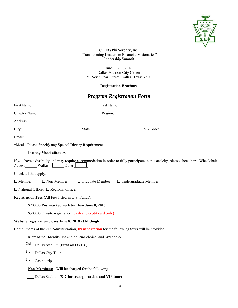![](_page_13_Picture_0.jpeg)

June 29-30, 2018 Dallas Marriott City Center 650 North Pearl Street, Dallas, Texas 75201

### **Registration Brochure**

### *Program Registration Form*

|                                                                                                                     | City: City: City: City: City: City: City: City: City: City: City: City: City: City: City: City: City: City: City: City: City: City: City: City: City: City: City: City: City: City: City: City: City: City: City: City: City: |  |  |
|---------------------------------------------------------------------------------------------------------------------|-------------------------------------------------------------------------------------------------------------------------------------------------------------------------------------------------------------------------------|--|--|
|                                                                                                                     |                                                                                                                                                                                                                               |  |  |
|                                                                                                                     |                                                                                                                                                                                                                               |  |  |
|                                                                                                                     |                                                                                                                                                                                                                               |  |  |
| Access Walker Other                                                                                                 | If you have a disability and may require accommodation in order to fully participate in this activity, please check here: Wheelchair                                                                                          |  |  |
| Check all that apply:                                                                                               |                                                                                                                                                                                                                               |  |  |
| $\Box$ Member                                                                                                       | $\Box$ Non-Member $\Box$ Graduate Member $\Box$ Undergraduate Member                                                                                                                                                          |  |  |
| $\Box$ National Officer $\Box$ Regional Officer                                                                     |                                                                                                                                                                                                                               |  |  |
| Registration Fees (All fees listed in U.S. Funds):                                                                  |                                                                                                                                                                                                                               |  |  |
| \$200.00 Postmarked no later than June 8, 2018                                                                      |                                                                                                                                                                                                                               |  |  |
| \$300.00 On-site registration (cash and credit card only)                                                           |                                                                                                                                                                                                                               |  |  |
| Website registration closes June 8, 2018 at Midnight                                                                |                                                                                                                                                                                                                               |  |  |
| Compliments of the 21 <sup>st</sup> Administration, <b>transportation</b> for the following tours will be provided: |                                                                                                                                                                                                                               |  |  |
| Members: Identify 1st choice, 2nd choice, and 3rd choice                                                            |                                                                                                                                                                                                                               |  |  |
| 3rd Dallas Stadium (First 40 ONLY)                                                                                  |                                                                                                                                                                                                                               |  |  |
| 3rd<br>Dallas City Tour                                                                                             |                                                                                                                                                                                                                               |  |  |
| 3rd<br>Casino trip                                                                                                  |                                                                                                                                                                                                                               |  |  |
| <b>Non-Members:</b> Will be charged for the following:                                                              |                                                                                                                                                                                                                               |  |  |
| Dallas Stadium (\$42 for transportation and VIP tour)                                                               |                                                                                                                                                                                                                               |  |  |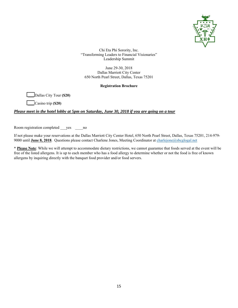![](_page_14_Picture_0.jpeg)

June 29-30, 2018 Dallas Marriott City Center 650 North Pearl Street, Dallas, Texas 75201

### **Registration Brochure**

\_\_\_ Dallas City Tour **(\$20)**

\_\_\_ Casino trip **(\$20)**

### *Please meet in the hotel lobby at 5pm on Saturday, June 30, 2018 if you are going on a tour*

Room registration completed \_\_\_yes \_\_\_\_no

If not please make your reservations at the Dallas Marriott City Center Hotel, 650 North Pearl Street, Dallas, Texas 75201, 214-979- 9000 until **June 8, 2018**. Questions please contact Charlene Jones, Meeting Coordinator at charlejone@sbcglogal.net

\* **Please Note**: While we will attempt to accommodate dietary restrictions, we cannot guarantee that foods served at the event will be free of the listed allergens. It is up to each member who has a food allergy to determine whether or not the food is free of known allergens by inquiring directly with the banquet food provider and/or food servers.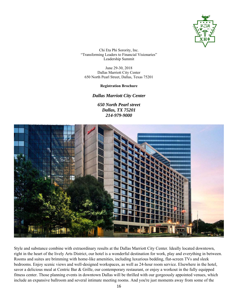![](_page_15_Picture_0.jpeg)

June 29-30, 2018 Dallas Marriott City Center 650 North Pearl Street, Dallas, Texas 75201

### **Registration Brochure**

### *Dallas Marriott City Center*

*650 North Pearl street Dallas, TX 75201 214-979-9000*

![](_page_15_Picture_6.jpeg)

Style and substance combine with extraordinary results at the Dallas Marriott City Center. Ideally located downtown, right in the heart of the lively Arts District, our hotel is a wonderful destination for work, play and everything in between. Rooms and suites are brimming with home-like amenities, including luxurious bedding, flat-screen TVs and sleek bedrooms. Enjoy scenic views and well-designed workspaces, as well as 24-hour room service. Elsewhere in the hotel, savor a delicious meal at Centric Bar & Grille, our contemporary restaurant, or enjoy a workout in the fully equipped fitness center. Those planning events in downtown Dallas will be thrilled with our gorgeously appointed venues, which include an expansive ballroom and several intimate meeting rooms. And you're just moments away from some of the